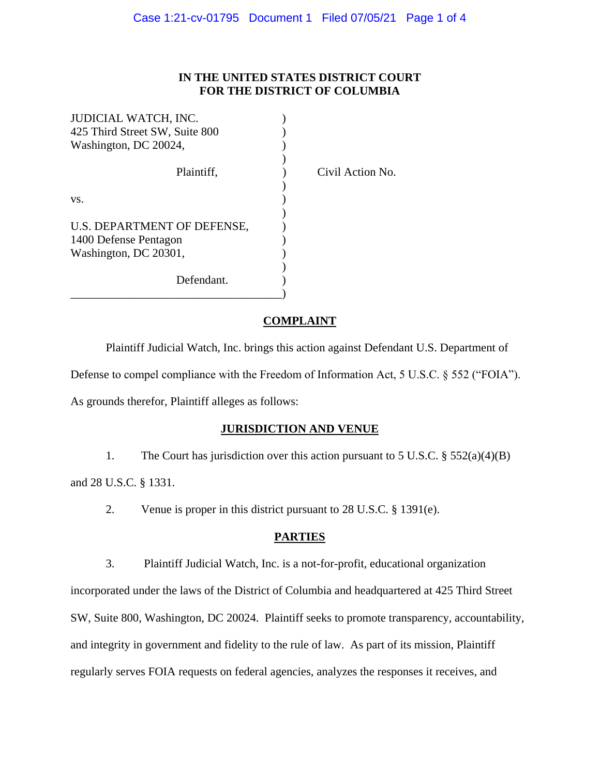#### **IN THE UNITED STATES DISTRICT COURT FOR THE DISTRICT OF COLUMBIA**

| JUDICIAL WATCH, INC.           |  |
|--------------------------------|--|
| 425 Third Street SW, Suite 800 |  |
| Washington, DC 20024,          |  |
|                                |  |
| Plaintiff.                     |  |
|                                |  |
| VS.                            |  |
|                                |  |
| U.S. DEPARTMENT OF DEFENSE,    |  |
| 1400 Defense Pentagon          |  |
| Washington, DC 20301,          |  |
|                                |  |
| Defendant.                     |  |
|                                |  |

Civil Action No.

## **COMPLAINT**

Plaintiff Judicial Watch, Inc. brings this action against Defendant U.S. Department of Defense to compel compliance with the Freedom of Information Act, 5 U.S.C. § 552 ("FOIA").

As grounds therefor, Plaintiff alleges as follows:

# **JURISDICTION AND VENUE**

1. The Court has jurisdiction over this action pursuant to 5 U.S.C. § 552(a)(4)(B)

and 28 U.S.C. § 1331.

2. Venue is proper in this district pursuant to 28 U.S.C. § 1391(e).

# **PARTIES**

3. Plaintiff Judicial Watch, Inc. is a not-for-profit, educational organization

incorporated under the laws of the District of Columbia and headquartered at 425 Third Street SW, Suite 800, Washington, DC 20024. Plaintiff seeks to promote transparency, accountability, and integrity in government and fidelity to the rule of law. As part of its mission, Plaintiff regularly serves FOIA requests on federal agencies, analyzes the responses it receives, and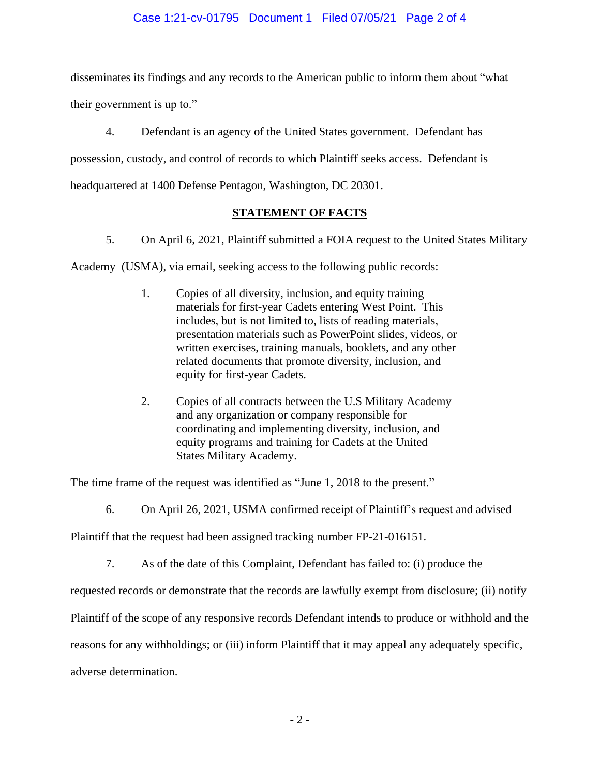### Case 1:21-cv-01795 Document 1 Filed 07/05/21 Page 2 of 4

disseminates its findings and any records to the American public to inform them about "what their government is up to."

4. Defendant is an agency of the United States government. Defendant has possession, custody, and control of records to which Plaintiff seeks access. Defendant is headquartered at 1400 Defense Pentagon, Washington, DC 20301.

## **STATEMENT OF FACTS**

5. On April 6, 2021, Plaintiff submitted a FOIA request to the United States Military

Academy (USMA), via email, seeking access to the following public records:

- 1. Copies of all diversity, inclusion, and equity training materials for first-year Cadets entering West Point. This includes, but is not limited to, lists of reading materials, presentation materials such as PowerPoint slides, videos, or written exercises, training manuals, booklets, and any other related documents that promote diversity, inclusion, and equity for first-year Cadets.
- 2. Copies of all contracts between the U.S Military Academy and any organization or company responsible for coordinating and implementing diversity, inclusion, and equity programs and training for Cadets at the United States Military Academy.

The time frame of the request was identified as "June 1, 2018 to the present."

6. On April 26, 2021, USMA confirmed receipt of Plaintiff's request and advised

Plaintiff that the request had been assigned tracking number FP-21-016151.

7. As of the date of this Complaint, Defendant has failed to: (i) produce the

requested records or demonstrate that the records are lawfully exempt from disclosure; (ii) notify

Plaintiff of the scope of any responsive records Defendant intends to produce or withhold and the

reasons for any withholdings; or (iii) inform Plaintiff that it may appeal any adequately specific,

adverse determination.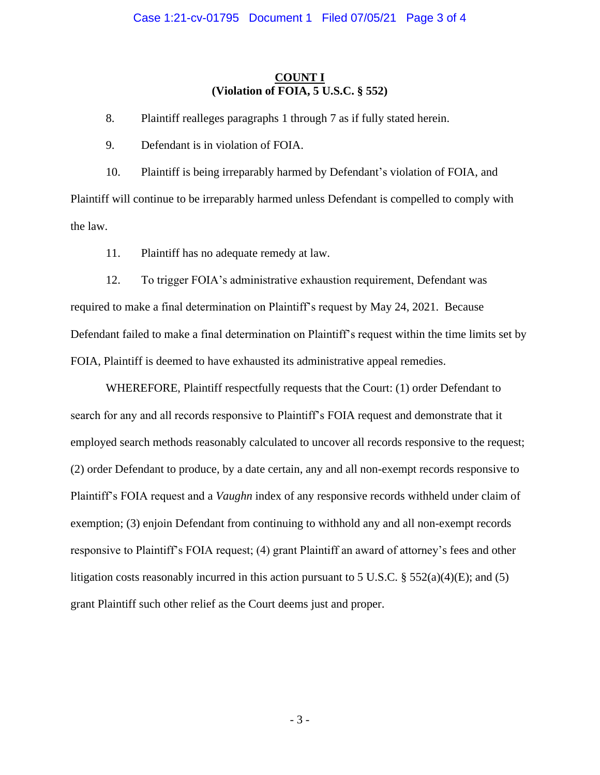#### **COUNT I (Violation of FOIA, 5 U.S.C. § 552)**

8. Plaintiff realleges paragraphs 1 through 7 as if fully stated herein.

9. Defendant is in violation of FOIA.

10. Plaintiff is being irreparably harmed by Defendant's violation of FOIA, and Plaintiff will continue to be irreparably harmed unless Defendant is compelled to comply with the law.

11. Plaintiff has no adequate remedy at law.

12. To trigger FOIA's administrative exhaustion requirement, Defendant was required to make a final determination on Plaintiff's request by May 24, 2021. Because Defendant failed to make a final determination on Plaintiff's request within the time limits set by FOIA, Plaintiff is deemed to have exhausted its administrative appeal remedies.

WHEREFORE, Plaintiff respectfully requests that the Court: (1) order Defendant to search for any and all records responsive to Plaintiff's FOIA request and demonstrate that it employed search methods reasonably calculated to uncover all records responsive to the request; (2) order Defendant to produce, by a date certain, any and all non-exempt records responsive to Plaintiff's FOIA request and a *Vaughn* index of any responsive records withheld under claim of exemption; (3) enjoin Defendant from continuing to withhold any and all non-exempt records responsive to Plaintiff's FOIA request; (4) grant Plaintiff an award of attorney's fees and other litigation costs reasonably incurred in this action pursuant to 5 U.S.C.  $\S 552(a)(4)(E)$ ; and (5) grant Plaintiff such other relief as the Court deems just and proper.